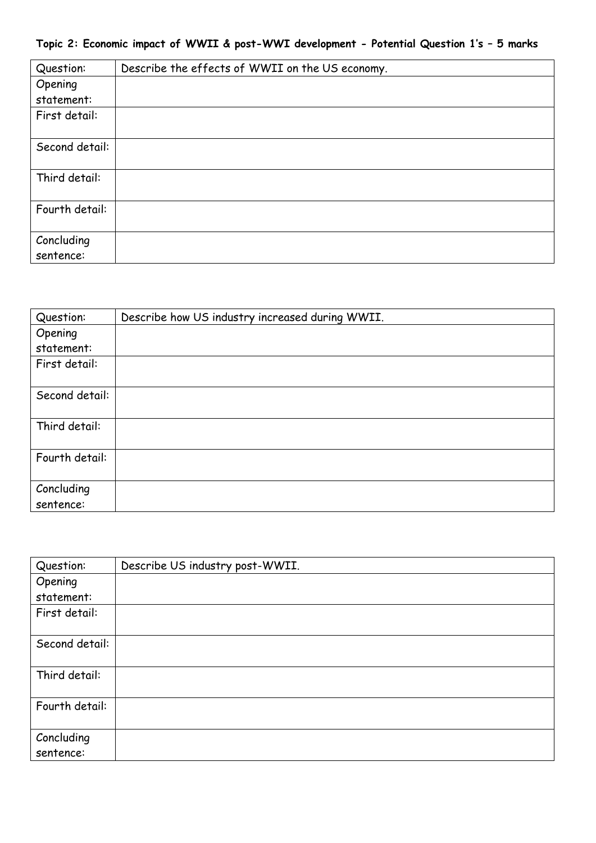|  |  |  |  |  |  |  | Topic 2: Economic impact of WWII & post-WWI development - Potential Question 1's - 5 marks |  |  |  |  |  |  |  |  |  |  |  |
|--|--|--|--|--|--|--|--------------------------------------------------------------------------------------------|--|--|--|--|--|--|--|--|--|--|--|
|--|--|--|--|--|--|--|--------------------------------------------------------------------------------------------|--|--|--|--|--|--|--|--|--|--|--|

| Question:      | Describe the effects of WWII on the US economy. |
|----------------|-------------------------------------------------|
| Opening        |                                                 |
| statement:     |                                                 |
| First detail:  |                                                 |
|                |                                                 |
| Second detail: |                                                 |
|                |                                                 |
| Third detail:  |                                                 |
| Fourth detail: |                                                 |
|                |                                                 |
| Concluding     |                                                 |
| sentence:      |                                                 |

| Question:      | Describe how US industry increased during WWII. |
|----------------|-------------------------------------------------|
| Opening        |                                                 |
| statement:     |                                                 |
| First detail:  |                                                 |
|                |                                                 |
| Second detail: |                                                 |
|                |                                                 |
| Third detail:  |                                                 |
| Fourth detail: |                                                 |
|                |                                                 |
| Concluding     |                                                 |
| sentence:      |                                                 |

| Question:               | Describe US industry post-WWII. |
|-------------------------|---------------------------------|
| Opening                 |                                 |
| statement:              |                                 |
| First detail:           |                                 |
| Second detail:          |                                 |
| Third detail:           |                                 |
| Fourth detail:          |                                 |
| Concluding<br>sentence: |                                 |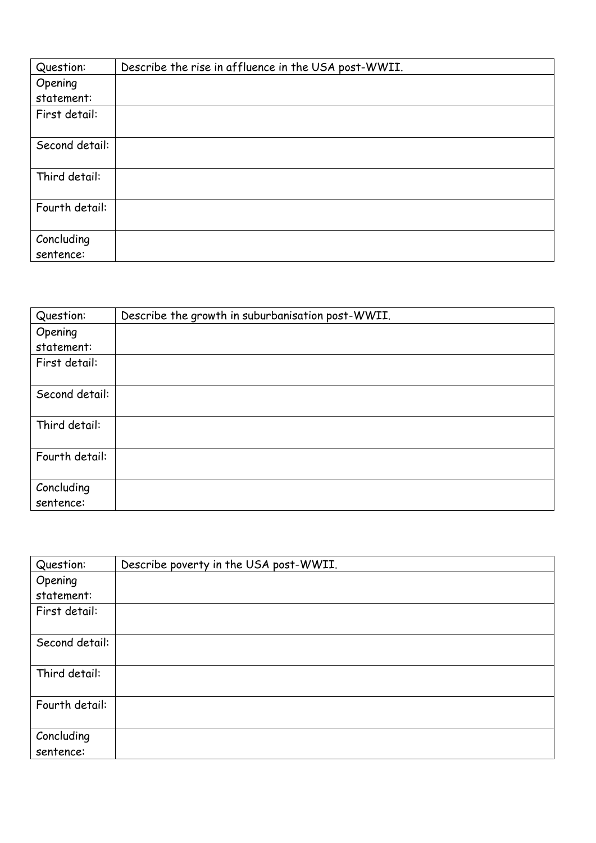| Question:               | Describe the rise in affluence in the USA post-WWII. |
|-------------------------|------------------------------------------------------|
| Opening                 |                                                      |
| statement:              |                                                      |
| First detail:           |                                                      |
| Second detail:          |                                                      |
| Third detail:           |                                                      |
| Fourth detail:          |                                                      |
| Concluding<br>sentence: |                                                      |

| Question:               | Describe the growth in suburbanisation post-WWII. |
|-------------------------|---------------------------------------------------|
| Opening                 |                                                   |
| statement:              |                                                   |
| First detail:           |                                                   |
| Second detail:          |                                                   |
|                         |                                                   |
| Third detail:           |                                                   |
| Fourth detail:          |                                                   |
| Concluding<br>sentence: |                                                   |

| Question:               | Describe poverty in the USA post-WWII. |
|-------------------------|----------------------------------------|
| Opening                 |                                        |
| statement:              |                                        |
| First detail:           |                                        |
| Second detail:          |                                        |
| Third detail:           |                                        |
| Fourth detail:          |                                        |
| Concluding<br>sentence: |                                        |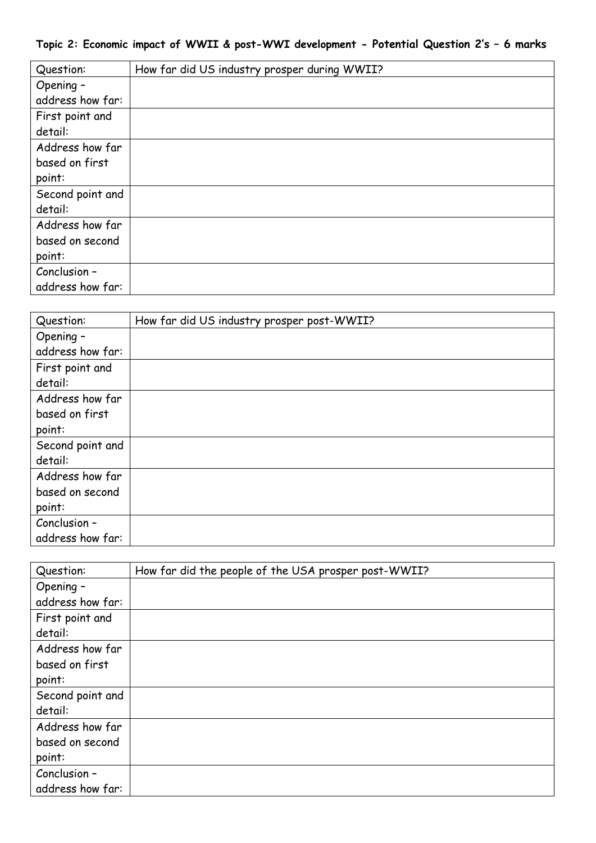| Question:        | How far did US industry prosper during WWII? |
|------------------|----------------------------------------------|
| Opening -        |                                              |
| address how far: |                                              |
| First point and  |                                              |
| detail:          |                                              |
| Address how far  |                                              |
| based on first   |                                              |
| point:           |                                              |
| Second point and |                                              |
| detail:          |                                              |
| Address how far  |                                              |
| based on second  |                                              |
| point:           |                                              |
| Conclusion -     |                                              |
| address how far: |                                              |

| Question:        | How far did US industry prosper post-WWII? |
|------------------|--------------------------------------------|
| Opening -        |                                            |
| address how far: |                                            |
| First point and  |                                            |
| detail:          |                                            |
| Address how far  |                                            |
| based on first   |                                            |
| point:           |                                            |
| Second point and |                                            |
| detail:          |                                            |
| Address how far  |                                            |
| based on second  |                                            |
| point:           |                                            |
| Conclusion -     |                                            |
| address how far: |                                            |

| Question:        | How far did the people of the USA prosper post-WWII? |
|------------------|------------------------------------------------------|
| Opening -        |                                                      |
| address how far: |                                                      |
| First point and  |                                                      |
| detail:          |                                                      |
| Address how far  |                                                      |
| based on first   |                                                      |
| point:           |                                                      |
| Second point and |                                                      |
| detail:          |                                                      |
| Address how far  |                                                      |
| based on second  |                                                      |
| point:           |                                                      |
| Conclusion -     |                                                      |
| address how far: |                                                      |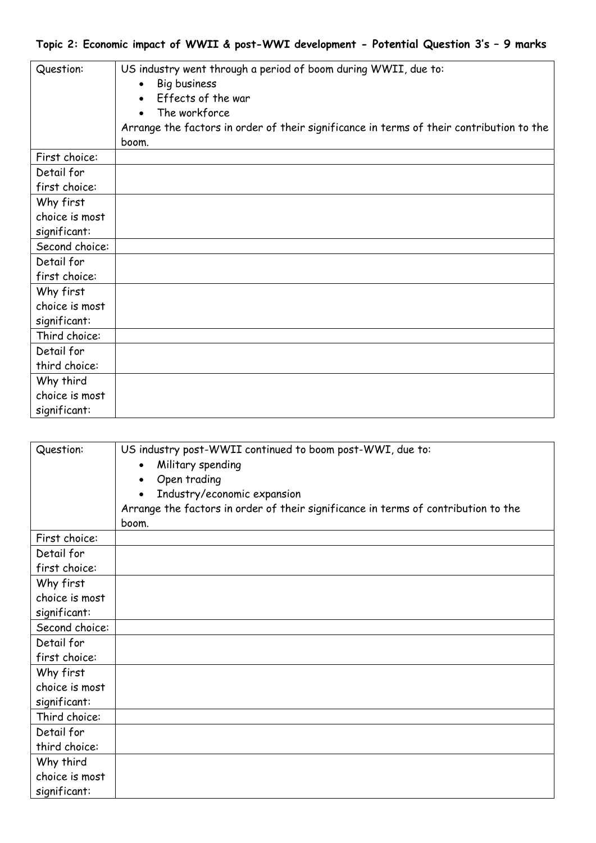| Question:      | US industry went through a period of boom during WWII, due to:<br>Big business<br>Effects of the war<br>The workforce<br>Arrange the factors in order of their significance in terms of their contribution to the<br>boom. |
|----------------|----------------------------------------------------------------------------------------------------------------------------------------------------------------------------------------------------------------------------|
| First choice:  |                                                                                                                                                                                                                            |
| Detail for     |                                                                                                                                                                                                                            |
| first choice:  |                                                                                                                                                                                                                            |
| Why first      |                                                                                                                                                                                                                            |
| choice is most |                                                                                                                                                                                                                            |
| significant:   |                                                                                                                                                                                                                            |
| Second choice: |                                                                                                                                                                                                                            |
| Detail for     |                                                                                                                                                                                                                            |
| first choice:  |                                                                                                                                                                                                                            |
| Why first      |                                                                                                                                                                                                                            |
| choice is most |                                                                                                                                                                                                                            |
| significant:   |                                                                                                                                                                                                                            |
| Third choice:  |                                                                                                                                                                                                                            |
| Detail for     |                                                                                                                                                                                                                            |
| third choice:  |                                                                                                                                                                                                                            |
| Why third      |                                                                                                                                                                                                                            |
| choice is most |                                                                                                                                                                                                                            |
| significant:   |                                                                                                                                                                                                                            |

| Question:      | US industry post-WWII continued to boom post-WWI, due to:<br>Military spending<br>Open trading<br>Industry/economic expansion<br>Arrange the factors in order of their significance in terms of contribution to the<br>boom. |
|----------------|------------------------------------------------------------------------------------------------------------------------------------------------------------------------------------------------------------------------------|
| First choice:  |                                                                                                                                                                                                                              |
| Detail for     |                                                                                                                                                                                                                              |
| first choice:  |                                                                                                                                                                                                                              |
| Why first      |                                                                                                                                                                                                                              |
| choice is most |                                                                                                                                                                                                                              |
| significant:   |                                                                                                                                                                                                                              |
| Second choice: |                                                                                                                                                                                                                              |
| Detail for     |                                                                                                                                                                                                                              |
| first choice:  |                                                                                                                                                                                                                              |
| Why first      |                                                                                                                                                                                                                              |
| choice is most |                                                                                                                                                                                                                              |
| significant:   |                                                                                                                                                                                                                              |
| Third choice:  |                                                                                                                                                                                                                              |
| Detail for     |                                                                                                                                                                                                                              |
| third choice:  |                                                                                                                                                                                                                              |
| Why third      |                                                                                                                                                                                                                              |
| choice is most |                                                                                                                                                                                                                              |
| significant:   |                                                                                                                                                                                                                              |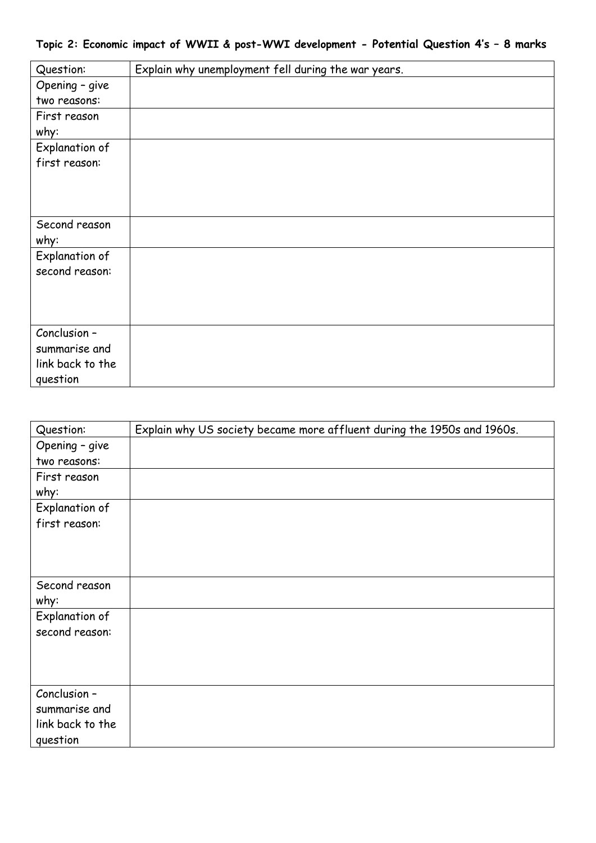| Question:             | Explain why unemployment fell during the war years. |
|-----------------------|-----------------------------------------------------|
| Opening - give        |                                                     |
| two reasons:          |                                                     |
| First reason          |                                                     |
| why:                  |                                                     |
| <b>Explanation of</b> |                                                     |
| first reason:         |                                                     |
|                       |                                                     |
|                       |                                                     |
|                       |                                                     |
| Second reason         |                                                     |
| why:                  |                                                     |
| <b>Explanation of</b> |                                                     |
| second reason:        |                                                     |
|                       |                                                     |
|                       |                                                     |
|                       |                                                     |
| Conclusion -          |                                                     |
| summarise and         |                                                     |
| link back to the      |                                                     |
| question              |                                                     |

| Question:        | Explain why US society became more affluent during the 1950s and 1960s. |
|------------------|-------------------------------------------------------------------------|
| Opening - give   |                                                                         |
| two reasons:     |                                                                         |
| First reason     |                                                                         |
| why:             |                                                                         |
| Explanation of   |                                                                         |
| first reason:    |                                                                         |
|                  |                                                                         |
|                  |                                                                         |
|                  |                                                                         |
| Second reason    |                                                                         |
| why:             |                                                                         |
| Explanation of   |                                                                         |
| second reason:   |                                                                         |
|                  |                                                                         |
|                  |                                                                         |
|                  |                                                                         |
| Conclusion -     |                                                                         |
| summarise and    |                                                                         |
| link back to the |                                                                         |
| question         |                                                                         |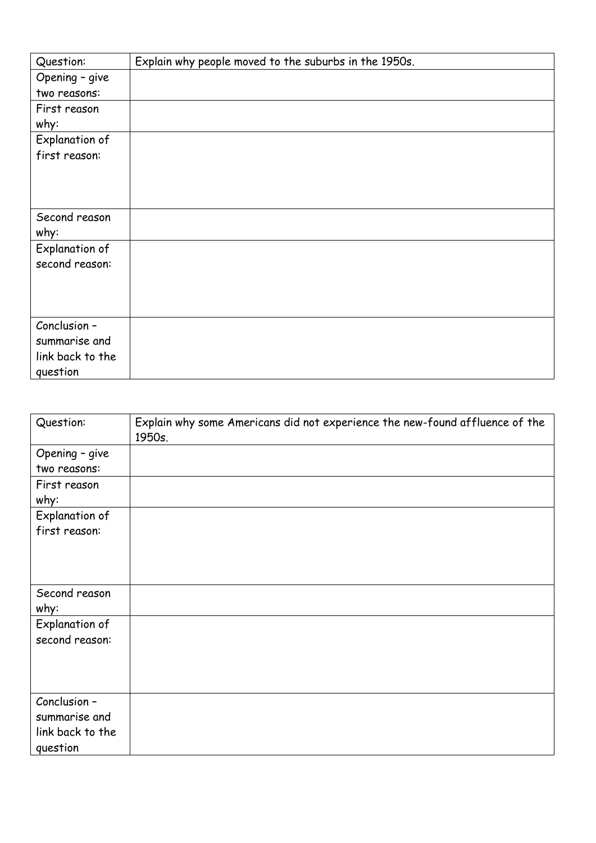| Question:        | Explain why people moved to the suburbs in the 1950s. |
|------------------|-------------------------------------------------------|
| Opening - give   |                                                       |
| two reasons:     |                                                       |
| First reason     |                                                       |
| why:             |                                                       |
| Explanation of   |                                                       |
| first reason:    |                                                       |
|                  |                                                       |
|                  |                                                       |
|                  |                                                       |
| Second reason    |                                                       |
| why:             |                                                       |
| Explanation of   |                                                       |
| second reason:   |                                                       |
|                  |                                                       |
|                  |                                                       |
|                  |                                                       |
| Conclusion -     |                                                       |
| summarise and    |                                                       |
| link back to the |                                                       |
| question         |                                                       |

| Question:                                                     | Explain why some Americans did not experience the new-found affluence of the<br>1950s. |
|---------------------------------------------------------------|----------------------------------------------------------------------------------------|
| Opening - give<br>two reasons:                                |                                                                                        |
| First reason<br>why:                                          |                                                                                        |
| Explanation of<br>first reason:                               |                                                                                        |
| Second reason<br>why:                                         |                                                                                        |
| Explanation of<br>second reason:                              |                                                                                        |
| Conclusion -<br>summarise and<br>link back to the<br>question |                                                                                        |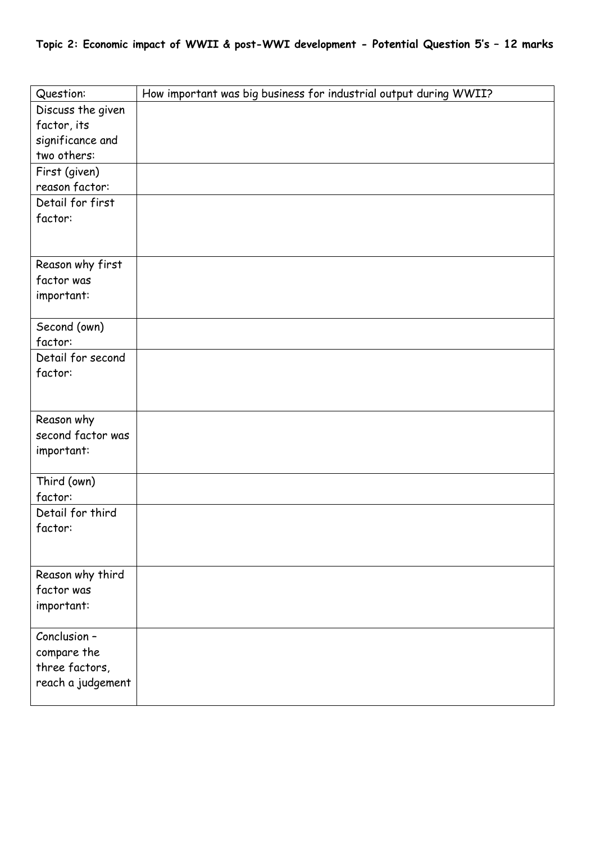| Question:              | How important was big business for industrial output during WWII? |
|------------------------|-------------------------------------------------------------------|
| Discuss the given      |                                                                   |
| factor, its            |                                                                   |
| significance and       |                                                                   |
| two others:            |                                                                   |
| First (given)          |                                                                   |
| reason factor:         |                                                                   |
| Detail for first       |                                                                   |
| factor:                |                                                                   |
|                        |                                                                   |
|                        |                                                                   |
| Reason why first       |                                                                   |
| factor was             |                                                                   |
| important:             |                                                                   |
| Second (own)           |                                                                   |
| factor:                |                                                                   |
| Detail for second      |                                                                   |
| factor:                |                                                                   |
|                        |                                                                   |
|                        |                                                                   |
| Reason why             |                                                                   |
| second factor was      |                                                                   |
| important:             |                                                                   |
|                        |                                                                   |
| Third (own)<br>factor: |                                                                   |
| Detail for third       |                                                                   |
|                        |                                                                   |
| factor:                |                                                                   |
|                        |                                                                   |
| Reason why third       |                                                                   |
| factor was             |                                                                   |
| important:             |                                                                   |
|                        |                                                                   |
| Conclusion -           |                                                                   |
| compare the            |                                                                   |
| three factors,         |                                                                   |
| reach a judgement      |                                                                   |
|                        |                                                                   |